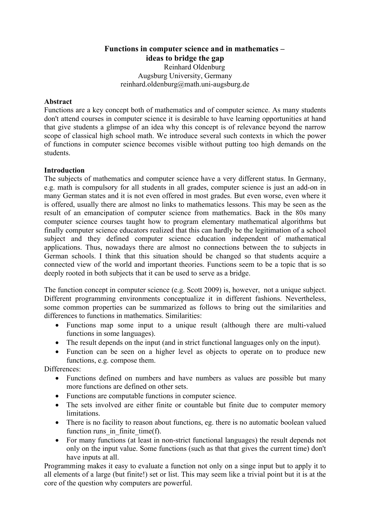**Functions in computer science and in mathematics – ideas to bridge the gap** Reinhard Oldenburg Augsburg University, Germany reinhard.oldenburg@math.uni-augsburg.de

### **Abstract**

Functions are a key concept both of mathematics and of computer science. As many students don't attend courses in computer science it is desirable to have learning opportunities at hand that give students a glimpse of an idea why this concept is of relevance beyond the narrow scope of classical high school math. We introduce several such contexts in which the power of functions in computer science becomes visible without putting too high demands on the students.

### **Introduction**

The subjects of mathematics and computer science have a very different status. In Germany, e.g. math is compulsory for all students in all grades, computer science is just an add-on in many German states and it is not even offered in most grades. But even worse, even where it is offered, usually there are almost no links to mathematics lessons. This may be seen as the result of an emancipation of computer science from mathematics. Back in the 80s many computer science courses taught how to program elementary mathematical algorithms but finally computer science educators realized that this can hardly be the legitimation of a school subject and they defined computer science education independent of mathematical applications. Thus, nowadays there are almost no connections between the to subjects in German schools. I think that this situation should be changed so that students acquire a connected view of the world and important theories. Functions seem to be a topic that is so deeply rooted in both subjects that it can be used to serve as a bridge.

The function concept in computer science (e.g. Scott 2009) is, however, not a unique subject. Different programming environments conceptualize it in different fashions. Nevertheless, some common properties can be summarized as follows to bring out the similarities and differences to functions in mathematics. Similarities:

- Functions map some input to a unique result (although there are multi-valued functions in some languages).
- The result depends on the input (and in strict functional languages only on the input).
- Function can be seen on a higher level as objects to operate on to produce new functions, e.g. compose them.

Differences:

- Functions defined on numbers and have numbers as values are possible but many more functions are defined on other sets.
- Functions are computable functions in computer science.
- The sets involved are either finite or countable but finite due to computer memory limitations.
- There is no facility to reason about functions, eg. there is no automatic boolean valued function runs in finite time(f).
- For many functions (at least in non-strict functional languages) the result depends not only on the input value. Some functions (such as that that gives the current time) don't have inputs at all.

Programming makes it easy to evaluate a function not only on a singe input but to apply it to all elements of a large (but finite!) set or list. This may seem like a trivial point but it is at the core of the question why computers are powerful.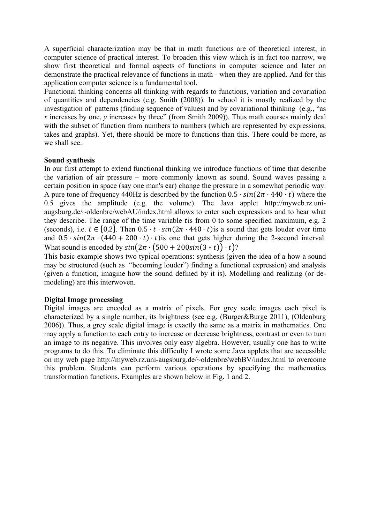A superficial characterization may be that in math functions are of theoretical interest, in computer science of practical interest. To broaden this view which is in fact too narrow, we show first theoretical and formal aspects of functions in computer science and later on demonstrate the practical relevance of functions in math - when they are applied. And for this application computer science is a fundamental tool.

Functional thinking concerns all thinking with regards to functions, variation and covariation of quantities and dependencies (e.g. Smith (2008)). In school it is mostly realized by the investigation of patterns (finding sequence of values) and by covariational thinking (e.g., "as *x* increases by one, *y* increases by three" (from Smith 2009)). Thus math courses mainly deal with the subset of function from numbers to numbers (which are represented by expressions, takes and graphs). Yet, there should be more to functions than this. There could be more, as we shall see.

### **Sound synthesis**

In our first attempt to extend functional thinking we introduce functions of time that describe the variation of air pressure – more commonly known as sound. Sound waves passing a certain position in space (say one man's ear) change the pressure in a somewhat periodic way. A pure tone of frequency 440Hz is described by the function  $0.5 \cdot \sin(2\pi \cdot 440 \cdot t)$  where the 0.5 gives the amplitude (e.g. the volume). The Java applet http://myweb.rz.uniaugsburg.de/~oldenbre/webAU/index.html allows to enter such expressions and to hear what they describe. The range of the time variable tis from  $0$  to some specified maximum, e.g. 2 (seconds), i.e.  $t \in [0,2]$ . Then  $0.5 \cdot t \cdot \sin(2\pi \cdot 440 \cdot t)$  is a sound that gets louder over time and  $0.5 \cdot \sin(2\pi \cdot (440 + 200 \cdot t) \cdot t)$  is one that gets higher during the 2-second interval. What sound is encoded by  $sin(2\pi \cdot (500 + 200sin(3 * t)) \cdot t)$ ?

This basic example shows two typical operations: synthesis (given the idea of a how a sound may be structured (such as "becoming louder") finding a functional expression) and analysis (given a function, imagine how the sound defined by it is). Modelling and realizing (or demodeling) are this interwoven.

### **Digital Image processing**

Digital images are encoded as a matrix of pixels. For grey scale images each pixel is characterized by a single number, its brightness (see e.g. (Burger&Burge 2011), (Oldenburg 2006)). Thus, a grey scale digital image is exactly the same as a matrix in mathematics. One may apply a function to each entry to increase or decrease brightness, contrast or even to turn an image to its negative. This involves only easy algebra. However, usually one has to write programs to do this. To eliminate this difficulty I wrote some Java applets that are accessible on my web page http://myweb.rz.uni-augsburg.de/~oldenbre/webBV/index.html to overcome this problem. Students can perform various operations by specifying the mathematics transformation functions. Examples are shown below in Fig. 1 and 2.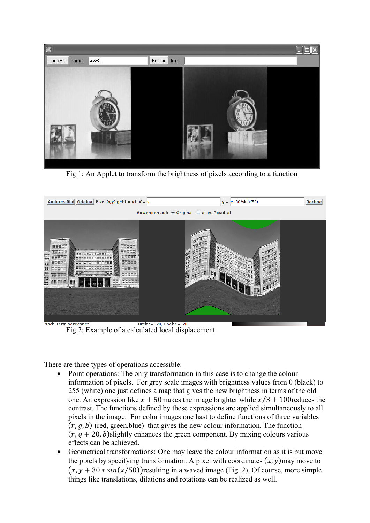

Fig 1: An Applet to transform the brightness of pixels according to a function



Fig 2: Example of a calculated local displacement

There are three types of operations accessible:

- Point operations: The only transformation in this case is to change the colour information of pixels. For grey scale images with brightness values from 0 (black) to 255 (white) one just defines a map that gives the new brightness in terms of the old one. An expression like  $x + 50$  makes the image brighter while  $x/3 + 100$  reduces the contrast. The functions defined by these expressions are applied simultaneously to all pixels in the image. For color images one hast to define functions of three variables  $(r, g, b)$  (red, green, blue) that gives the new colour information. The function  $(r, g + 20, b)$ slightly enhances the green component. By mixing colours various effects can be achieved.
- Geometrical transformations: One may leave the colour information as it is but move the pixels by specifying transformation. A pixel with coordinates  $(x, y)$  may move to  $(x, y + 30 * sin(x/50))$ resulting in a waved image (Fig. 2). Of course, more simple things like translations, dilations and rotations can be realized as well.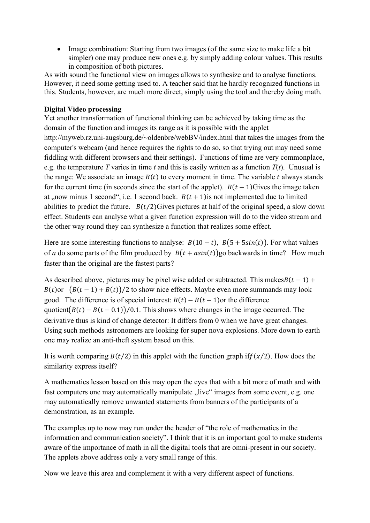• Image combination: Starting from two images (of the same size to make life a bit simpler) one may produce new ones e.g. by simply adding colour values. This results in composition of both pictures.

As with sound the functional view on images allows to synthesize and to analyse functions. However, it need some getting used to. A teacher said that he hardly recognized functions in this. Students, however, are much more direct, simply using the tool and thereby doing math.

## **Digital Video processing**

Yet another transformation of functional thinking can be achieved by taking time as the domain of the function and images its range as it is possible with the applet http://myweb.rz.uni-augsburg.de/~oldenbre/webBV/index.html that takes the images from the computer's webcam (and hence requires the rights to do so, so that trying out may need some fiddling with different browsers and their settings). Functions of time are very commonplace, e.g. the temperature *T* varies in time *t* and this is easily written as a function  $T(t)$ . Unusual is the range: We associate an image  $B(t)$  to every moment in time. The variable t always stands for the current time (in seconds since the start of the applet).  $B(t-1)$ Gives the image taken at , now minus 1 second", i.e. 1 second back.  $B(t + 1)$  is not implemented due to limited abilities to predict the future.  $B(t/2)$ Gives pictures at half of the original speed, a slow down effect. Students can analyse what a given function expression will do to the video stream and the other way round they can synthesize a function that realizes some effect.

Here are some interesting functions to analyse:  $B(10 - t)$ ,  $B(5 + 5\sin(t))$ . For what values of *a* do some parts of the film produced by  $B(t + asin(t))$ go backwards in time? How much faster than the original are the fastest parts?

As described above, pictures may be pixel wise added or subtracted. This makes $B(t - 1)$  +  $B(t)$ or  $(B(t-1) + B(t))/2$  to show nice effects. Maybe even more summands may look good. The difference is of special interest:  $B(t) - B(t - 1)$ or the difference quotient $(B(t) - B(t - 0.1))/0.1$ . This shows where changes in the image occurred. The derivative thus is kind of change detector: It differs from 0 when we have great changes. Using such methods astronomers are looking for super nova explosions. More down to earth one may realize an anti-theft system based on this.

It is worth comparing  $B(t/2)$  in this applet with the function graph if  $f(x/2)$ . How does the similarity express itself?

A mathematics lesson based on this may open the eyes that with a bit more of math and with fast computers one may automatically manipulate "live" images from some event, e.g. one may automatically remove unwanted statements from banners of the participants of a demonstration, as an example.

The examples up to now may run under the header of "the role of mathematics in the information and communication society". I think that it is an important goal to make students aware of the importance of math in all the digital tools that are omni-present in our society. The applets above address only a very small range of this.

Now we leave this area and complement it with a very different aspect of functions.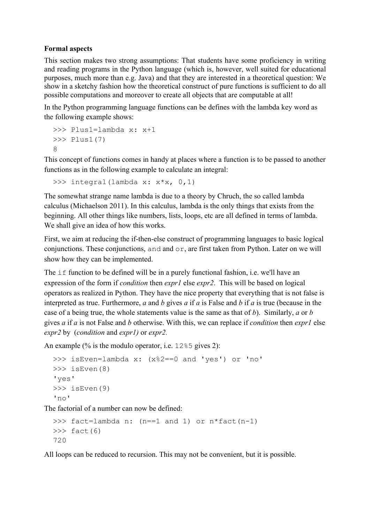### **Formal aspects**

This section makes two strong assumptions: That students have some proficiency in writing and reading programs in the Python language (which is, however, well suited for educational purposes, much more than e.g. Java) and that they are interested in a theoretical question: We show in a sketchy fashion how the theoretical construct of pure functions is sufficient to do all possible computations and moreover to create all objects that are computable at all!

In the Python programming language functions can be defines with the lambda key word as the following example shows:

```
>>> Plus1=lambda x: x+1
>>> Plus1(7)
\Omega
```
This concept of functions comes in handy at places where a function is to be passed to another functions as in the following example to calculate an integral:

```
>>> integral(lambda x: x*x, 0,1)
```
The somewhat strange name lambda is due to a theory by Chruch, the so called lambda calculus (Michaelson 2011). In this calculus, lambda is the only things that exists from the beginning. All other things like numbers, lists, loops, etc are all defined in terms of lambda. We shall give an idea of how this works.

First, we aim at reducing the if-then-else construct of programming languages to basic logical conjunctions. These conjunctions, and and or, are first taken from Python. Later on we will show how they can be implemented.

The iffunction to be defined will be in a purely functional fashion, i.e. we'll have an expression of the form if *condition* then *expr1* else *expr2*. This will be based on logical operators as realized in Python. They have the nice property that everything that is not false is interpreted as true. Furthermore, *a* and *b* gives *a* if *a* is False and *b* if *a* is true (because in the case of a being true, the whole statements value is the same as that of *b*). Similarly, *a* or *b* gives *a* if *a* is not False and *b* otherwise. With this, we can replace if *condition* then *expr1* else *expr2* by (*condition* and *expr1)* or *expr2.*

An example (% is the modulo operator, i.e. 12%5 gives 2):

```
>>> isEven=lambda x: (x%2==0 and 'yes') or 'no'
>>> isEven(8)
'yes'
>>> isEven(9)
'no'
```
The factorial of a number can now be defined:

```
>>> fact=lambda n: (n==1 and 1) or n*fact(n-1)
\gg fact(6)
720
```
All loops can be reduced to recursion. This may not be convenient, but it is possible.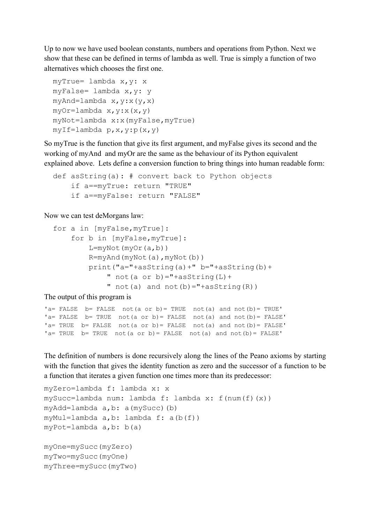Up to now we have used boolean constants, numbers and operations from Python. Next we show that these can be defined in terms of lambda as well. True is simply a function of two alternatives which chooses the first one.

```
myTrue= lambda x,y: x
myFalse= lambda x,y: y
myAnd=lambda x, y: x(y, x)myOr=lambda x,y:x(x,y)
myNot=lambda x:x(myFalse,myTrue)
myIf=lambda p,x,y:p(x,y)
```
So myTrue is the function that give its first argument, and myFalse gives its second and the working of myAnd and myOr are the same as the behaviour of its Python equivalent explained above. Lets define a conversion function to bring things into human readable form:

```
def asString(a): # convert back to Python objects
     if a==myTrue: return "TRUE"
     if a==myFalse: return "FALSE"
```
Now we can test deMorgans law:

```
for a in [myFalse,myTrue]:
     for b in [myFalse,myTrue]:
        L=myNot(myOr(a,b)) R=myAnd(myNot(a),myNot(b))
         print("a="+asString(a)+" b="+asString(b)+
            " not(a or b) = "+asString(L) +
            " not(a) and not(b) ="+asString(R))
```
The output of this program is

```
'a= FALSE b= FALSE not(a or b) = TRUE not(a) and not(b) = TRUE'
'a= FALSE b= TRUE not(a or b)= FALSE not(a) and not(b)= FALSE'
'a= TRUE b= FALSE not(a or b)= FALSE not(a) and not(b)= FALSE'
'a= TRUE b= TRUE not(a or b)= FALSE not(a) and not(b)= FALSE'
```
The definition of numbers is done recursively along the lines of the Peano axioms by starting with the function that gives the identity function as zero and the successor of a function to be a function that iterates a given function one times more than its predecessor:

```
myZero=lambda f: lambda x: x
mySucc=lambda num: lambda f: lambda x: f(num(f)(x))
myAdd=lambda a,b: a(mySucc)(b) 
myMul=lambda a,b: lambda f: a(b(f))
myPot=lambda a,b: b(a)
myOne=mySucc(myZero)
myTwo=mySucc(myOne)
myThree=mySucc(myTwo)
```